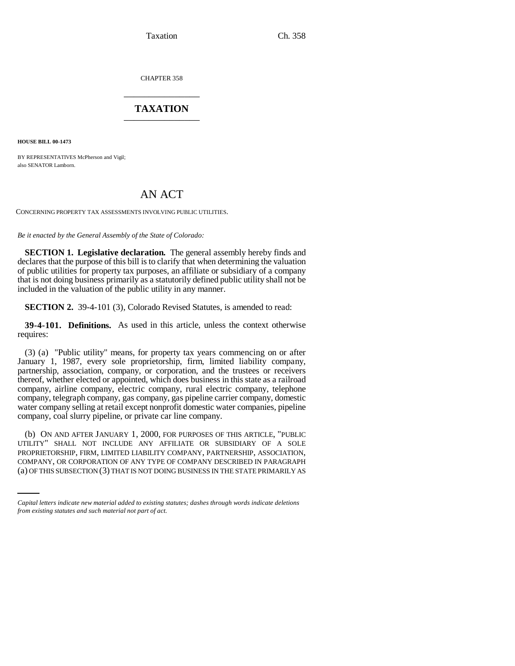Taxation Ch. 358

CHAPTER 358 \_\_\_\_\_\_\_\_\_\_\_\_\_\_\_

## **TAXATION** \_\_\_\_\_\_\_\_\_\_\_\_\_\_\_

**HOUSE BILL 00-1473** 

BY REPRESENTATIVES McPherson and Vigil; also SENATOR Lamborn.

## AN ACT

CONCERNING PROPERTY TAX ASSESSMENTS INVOLVING PUBLIC UTILITIES.

*Be it enacted by the General Assembly of the State of Colorado:*

**SECTION 1. Legislative declaration.** The general assembly hereby finds and declares that the purpose of this bill is to clarify that when determining the valuation of public utilities for property tax purposes, an affiliate or subsidiary of a company that is not doing business primarily as a statutorily defined public utility shall not be included in the valuation of the public utility in any manner.

**SECTION 2.** 39-4-101 (3), Colorado Revised Statutes, is amended to read:

**39-4-101. Definitions.** As used in this article, unless the context otherwise requires:

(3) (a) "Public utility" means, for property tax years commencing on or after January 1, 1987, every sole proprietorship, firm, limited liability company, partnership, association, company, or corporation, and the trustees or receivers thereof, whether elected or appointed, which does business in this state as a railroad company, airline company, electric company, rural electric company, telephone company, telegraph company, gas company, gas pipeline carrier company, domestic water company selling at retail except nonprofit domestic water companies, pipeline company, coal slurry pipeline, or private car line company.

PROPRIETORSHIP, FIRM, LIMITED LIABILITY COMPANY, PARTNERSHIP, ASSOCIATION, (b) ON AND AFTER JANUARY 1, 2000, FOR PURPOSES OF THIS ARTICLE, "PUBLIC UTILITY" SHALL NOT INCLUDE ANY AFFILIATE OR SUBSIDIARY OF A SOLE COMPANY, OR CORPORATION OF ANY TYPE OF COMPANY DESCRIBED IN PARAGRAPH (a) OF THIS SUBSECTION (3) THAT IS NOT DOING BUSINESS IN THE STATE PRIMARILY AS

*Capital letters indicate new material added to existing statutes; dashes through words indicate deletions from existing statutes and such material not part of act.*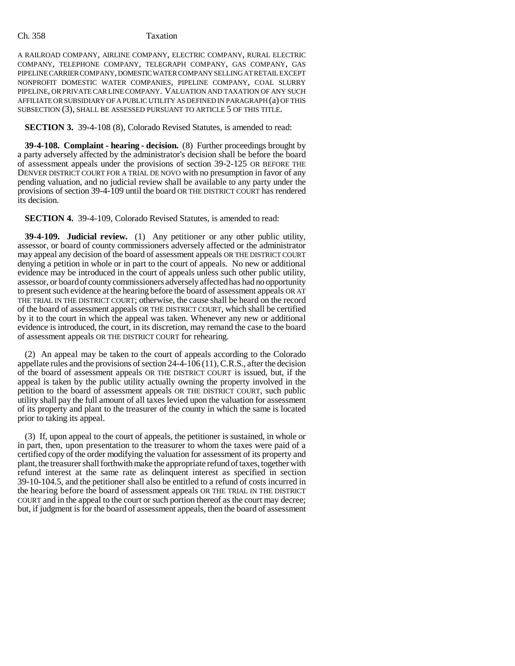## Ch. 358 Taxation

A RAILROAD COMPANY, AIRLINE COMPANY, ELECTRIC COMPANY, RURAL ELECTRIC COMPANY, TELEPHONE COMPANY, TELEGRAPH COMPANY, GAS COMPANY, GAS PIPELINE CARRIER COMPANY, DOMESTIC WATER COMPANY SELLING AT RETAIL EXCEPT NONPROFIT DOMESTIC WATER COMPANIES, PIPELINE COMPANY, COAL SLURRY PIPELINE, OR PRIVATE CAR LINE COMPANY. VALUATION AND TAXATION OF ANY SUCH AFFILIATE OR SUBSIDIARY OF A PUBLIC UTILITY AS DEFINED IN PARAGRAPH (a) OF THIS SUBSECTION (3), SHALL BE ASSESSED PURSUANT TO ARTICLE 5 OF THIS TITLE.

**SECTION 3.** 39-4-108 (8), Colorado Revised Statutes, is amended to read:

**39-4-108. Complaint - hearing - decision.** (8) Further proceedings brought by a party adversely affected by the administrator's decision shall be before the board of assessment appeals under the provisions of section 39-2-125 OR BEFORE THE DENVER DISTRICT COURT FOR A TRIAL DE NOVO with no presumption in favor of any pending valuation, and no judicial review shall be available to any party under the provisions of section 39-4-109 until the board OR THE DISTRICT COURT has rendered its decision.

**SECTION 4.** 39-4-109, Colorado Revised Statutes, is amended to read:

**39-4-109. Judicial review.** (1) Any petitioner or any other public utility, assessor, or board of county commissioners adversely affected or the administrator may appeal any decision of the board of assessment appeals OR THE DISTRICT COURT denying a petition in whole or in part to the court of appeals. No new or additional evidence may be introduced in the court of appeals unless such other public utility, assessor, or board of county commissioners adversely affected has had no opportunity to present such evidence at the hearing before the board of assessment appeals OR AT THE TRIAL IN THE DISTRICT COURT; otherwise, the cause shall be heard on the record of the board of assessment appeals OR THE DISTRICT COURT, which shall be certified by it to the court in which the appeal was taken. Whenever any new or additional evidence is introduced, the court, in its discretion, may remand the case to the board of assessment appeals OR THE DISTRICT COURT for rehearing.

(2) An appeal may be taken to the court of appeals according to the Colorado appellate rules and the provisions of section 24-4-106 (11), C.R.S., after the decision of the board of assessment appeals OR THE DISTRICT COURT is issued, but, if the appeal is taken by the public utility actually owning the property involved in the petition to the board of assessment appeals OR THE DISTRICT COURT, such public utility shall pay the full amount of all taxes levied upon the valuation for assessment of its property and plant to the treasurer of the county in which the same is located prior to taking its appeal.

(3) If, upon appeal to the court of appeals, the petitioner is sustained, in whole or in part, then, upon presentation to the treasurer to whom the taxes were paid of a certified copy of the order modifying the valuation for assessment of its property and plant, the treasurer shall forthwith make the appropriate refund of taxes, together with refund interest at the same rate as delinquent interest as specified in section 39-10-104.5, and the petitioner shall also be entitled to a refund of costs incurred in the hearing before the board of assessment appeals OR THE TRIAL IN THE DISTRICT COURT and in the appeal to the court or such portion thereof as the court may decree; but, if judgment is for the board of assessment appeals, then the board of assessment